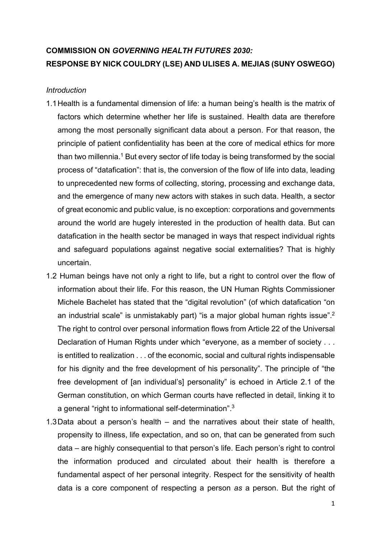# COMMISSION ON GOVERNING HEALTH FUTURES 2030: RESPONSE BY NICK COULDRY (LSE) AND ULISES A. MEJIAS (SUNY OSWEGO)

### **Introduction**

- 1.1 Health is a fundamental dimension of life: a human being's health is the matrix of factors which determine whether her life is sustained. Health data are therefore among the most personally significant data about a person. For that reason, the principle of patient confidentiality has been at the core of medical ethics for more than two millennia. $^1$  But every sector of life today is being transformed by the social process of "datafication": that is, the conversion of the flow of life into data, leading to unprecedented new forms of collecting, storing, processing and exchange data, and the emergence of many new actors with stakes in such data. Health, a sector of great economic and public value, is no exception: corporations and governments around the world are hugely interested in the production of health data. But can datafication in the health sector be managed in ways that respect individual rights and safeguard populations against negative social externalities? That is highly uncertain.
- 1.2 Human beings have not only a right to life, but a right to control over the flow of information about their life. For this reason, the UN Human Rights Commissioner Michele Bachelet has stated that the "digital revolution" (of which datafication "on an industrial scale" is unmistakably part) "is a major global human rights issue".<sup>2</sup> The right to control over personal information flows from Article 22 of the Universal Declaration of Human Rights under which "everyone, as a member of society . . . is entitled to realization . . . of the economic, social and cultural rights indispensable for his dignity and the free development of his personality". The principle of "the free development of [an individual's] personality" is echoed in Article 2.1 of the German constitution, on which German courts have reflected in detail, linking it to a general "right to informational self-determination".<sup>3</sup>
- 1.3 Data about a person's health and the narratives about their state of health, propensity to illness, life expectation, and so on, that can be generated from such data – are highly consequential to that person's life. Each person's right to control the information produced and circulated about their health is therefore a fundamental aspect of her personal integrity. Respect for the sensitivity of health data is a core component of respecting a person as a person. But the right of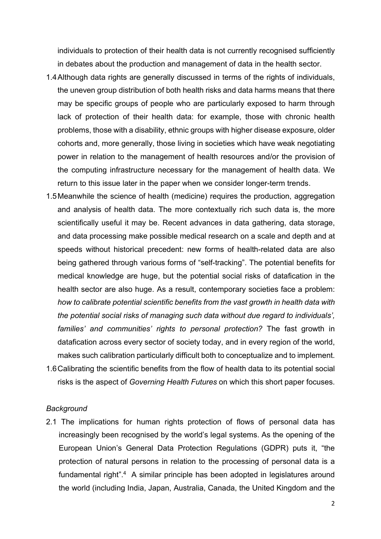individuals to protection of their health data is not currently recognised sufficiently in debates about the production and management of data in the health sector.

- 1.4 Although data rights are generally discussed in terms of the rights of individuals, the uneven group distribution of both health risks and data harms means that there may be specific groups of people who are particularly exposed to harm through lack of protection of their health data: for example, those with chronic health problems, those with a disability, ethnic groups with higher disease exposure, older cohorts and, more generally, those living in societies which have weak negotiating power in relation to the management of health resources and/or the provision of the computing infrastructure necessary for the management of health data. We return to this issue later in the paper when we consider longer-term trends.
- 1.5 Meanwhile the science of health (medicine) requires the production, aggregation and analysis of health data. The more contextually rich such data is, the more scientifically useful it may be. Recent advances in data gathering, data storage, and data processing make possible medical research on a scale and depth and at speeds without historical precedent: new forms of health-related data are also being gathered through various forms of "self-tracking". The potential benefits for medical knowledge are huge, but the potential social risks of datafication in the health sector are also huge. As a result, contemporary societies face a problem: how to calibrate potential scientific benefits from the vast growth in health data with the potential social risks of managing such data without due regard to individuals', families' and communities' rights to personal protection? The fast growth in datafication across every sector of society today, and in every region of the world, makes such calibration particularly difficult both to conceptualize and to implement.
- 1.6 Calibrating the scientific benefits from the flow of health data to its potential social risks is the aspect of Governing Health Futures on which this short paper focuses.

#### **Background**

2.1 The implications for human rights protection of flows of personal data has increasingly been recognised by the world's legal systems. As the opening of the European Union's General Data Protection Regulations (GDPR) puts it, "the protection of natural persons in relation to the processing of personal data is a fundamental right".<sup>4</sup> A similar principle has been adopted in legislatures around the world (including India, Japan, Australia, Canada, the United Kingdom and the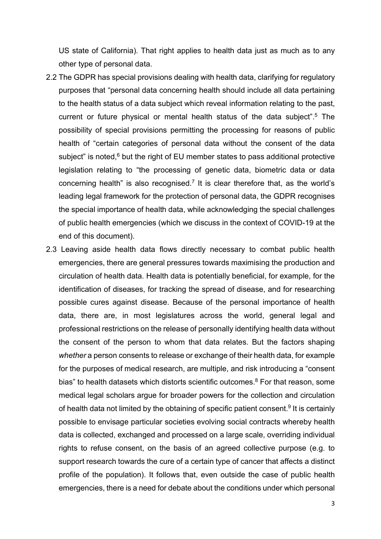US state of California). That right applies to health data just as much as to any other type of personal data.

- 2.2 The GDPR has special provisions dealing with health data, clarifying for regulatory purposes that "personal data concerning health should include all data pertaining to the health status of a data subject which reveal information relating to the past, current or future physical or mental health status of the data subject".<sup>5</sup> The possibility of special provisions permitting the processing for reasons of public health of "certain categories of personal data without the consent of the data subject" is noted, $6$  but the right of EU member states to pass additional protective legislation relating to "the processing of genetic data, biometric data or data concerning health" is also recognised.<sup>7</sup> It is clear therefore that, as the world's leading legal framework for the protection of personal data, the GDPR recognises the special importance of health data, while acknowledging the special challenges of public health emergencies (which we discuss in the context of COVID-19 at the end of this document).
- 2.3 Leaving aside health data flows directly necessary to combat public health emergencies, there are general pressures towards maximising the production and circulation of health data. Health data is potentially beneficial, for example, for the identification of diseases, for tracking the spread of disease, and for researching possible cures against disease. Because of the personal importance of health data, there are, in most legislatures across the world, general legal and professional restrictions on the release of personally identifying health data without the consent of the person to whom that data relates. But the factors shaping whether a person consents to release or exchange of their health data, for example for the purposes of medical research, are multiple, and risk introducing a "consent bias" to health datasets which distorts scientific outcomes.<sup>8</sup> For that reason, some medical legal scholars argue for broader powers for the collection and circulation of health data not limited by the obtaining of specific patient consent.<sup>9</sup> It is certainly possible to envisage particular societies evolving social contracts whereby health data is collected, exchanged and processed on a large scale, overriding individual rights to refuse consent, on the basis of an agreed collective purpose (e.g. to support research towards the cure of a certain type of cancer that affects a distinct profile of the population). It follows that, even outside the case of public health emergencies, there is a need for debate about the conditions under which personal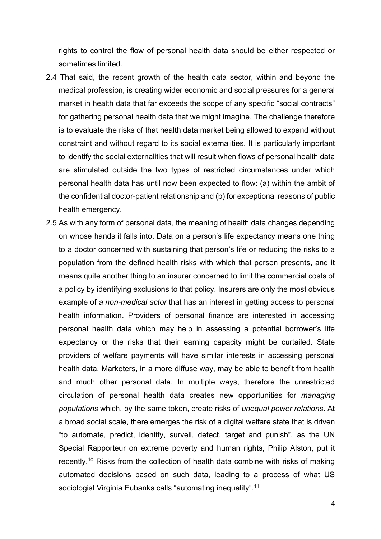rights to control the flow of personal health data should be either respected or sometimes limited.

- 2.4 That said, the recent growth of the health data sector, within and beyond the medical profession, is creating wider economic and social pressures for a general market in health data that far exceeds the scope of any specific "social contracts" for gathering personal health data that we might imagine. The challenge therefore is to evaluate the risks of that health data market being allowed to expand without constraint and without regard to its social externalities. It is particularly important to identify the social externalities that will result when flows of personal health data are stimulated outside the two types of restricted circumstances under which personal health data has until now been expected to flow: (a) within the ambit of the confidential doctor-patient relationship and (b) for exceptional reasons of public health emergency.
- 2.5 As with any form of personal data, the meaning of health data changes depending on whose hands it falls into. Data on a person's life expectancy means one thing to a doctor concerned with sustaining that person's life or reducing the risks to a population from the defined health risks with which that person presents, and it means quite another thing to an insurer concerned to limit the commercial costs of a policy by identifying exclusions to that policy. Insurers are only the most obvious example of a non-medical actor that has an interest in getting access to personal health information. Providers of personal finance are interested in accessing personal health data which may help in assessing a potential borrower's life expectancy or the risks that their earning capacity might be curtailed. State providers of welfare payments will have similar interests in accessing personal health data. Marketers, in a more diffuse way, may be able to benefit from health and much other personal data. In multiple ways, therefore the unrestricted circulation of personal health data creates new opportunities for managing populations which, by the same token, create risks of unequal power relations. At a broad social scale, there emerges the risk of a digital welfare state that is driven "to automate, predict, identify, surveil, detect, target and punish", as the UN Special Rapporteur on extreme poverty and human rights, Philip Alston, put it recently.<sup>10</sup> Risks from the collection of health data combine with risks of making automated decisions based on such data, leading to a process of what US sociologist Virginia Eubanks calls "automating inequality".<sup>11</sup>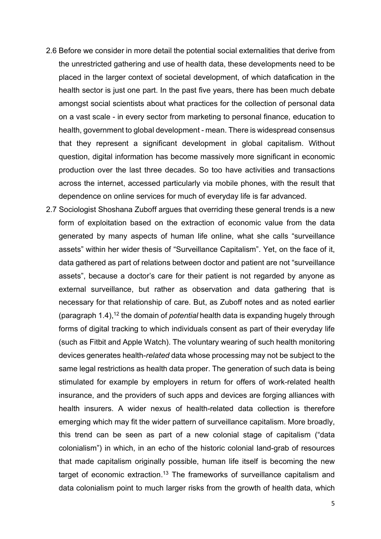- 2.6 Before we consider in more detail the potential social externalities that derive from the unrestricted gathering and use of health data, these developments need to be placed in the larger context of societal development, of which datafication in the health sector is just one part. In the past five years, there has been much debate amongst social scientists about what practices for the collection of personal data on a vast scale - in every sector from marketing to personal finance, education to health, government to global development - mean. There is widespread consensus that they represent a significant development in global capitalism. Without question, digital information has become massively more significant in economic production over the last three decades. So too have activities and transactions across the internet, accessed particularly via mobile phones, with the result that dependence on online services for much of everyday life is far advanced.
- 2.7 Sociologist Shoshana Zuboff argues that overriding these general trends is a new form of exploitation based on the extraction of economic value from the data generated by many aspects of human life online, what she calls "surveillance assets" within her wider thesis of "Surveillance Capitalism". Yet, on the face of it, data gathered as part of relations between doctor and patient are not "surveillance assets", because a doctor's care for their patient is not regarded by anyone as external surveillance, but rather as observation and data gathering that is necessary for that relationship of care. But, as Zuboff notes and as noted earlier (paragraph 1.4),<sup>12</sup> the domain of *potential* health data is expanding hugely through forms of digital tracking to which individuals consent as part of their everyday life (such as Fitbit and Apple Watch). The voluntary wearing of such health monitoring devices generates health-related data whose processing may not be subject to the same legal restrictions as health data proper. The generation of such data is being stimulated for example by employers in return for offers of work-related health insurance, and the providers of such apps and devices are forging alliances with health insurers. A wider nexus of health-related data collection is therefore emerging which may fit the wider pattern of surveillance capitalism. More broadly, this trend can be seen as part of a new colonial stage of capitalism ("data colonialism") in which, in an echo of the historic colonial land-grab of resources that made capitalism originally possible, human life itself is becoming the new target of economic extraction.<sup>13</sup> The frameworks of surveillance capitalism and data colonialism point to much larger risks from the growth of health data, which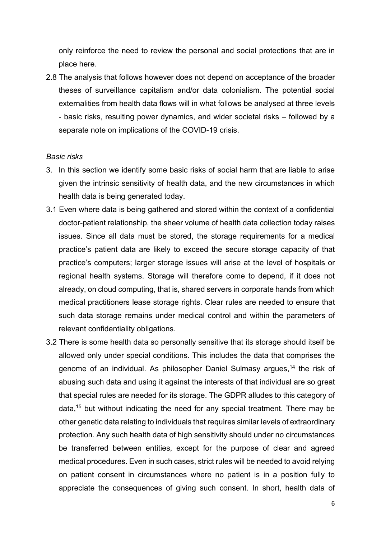only reinforce the need to review the personal and social protections that are in place here.

2.8 The analysis that follows however does not depend on acceptance of the broader theses of surveillance capitalism and/or data colonialism. The potential social externalities from health data flows will in what follows be analysed at three levels - basic risks, resulting power dynamics, and wider societal risks – followed by a separate note on implications of the COVID-19 crisis.

#### Basic risks

- 3. In this section we identify some basic risks of social harm that are liable to arise given the intrinsic sensitivity of health data, and the new circumstances in which health data is being generated today.
- 3.1 Even where data is being gathered and stored within the context of a confidential doctor-patient relationship, the sheer volume of health data collection today raises issues. Since all data must be stored, the storage requirements for a medical practice's patient data are likely to exceed the secure storage capacity of that practice's computers; larger storage issues will arise at the level of hospitals or regional health systems. Storage will therefore come to depend, if it does not already, on cloud computing, that is, shared servers in corporate hands from which medical practitioners lease storage rights. Clear rules are needed to ensure that such data storage remains under medical control and within the parameters of relevant confidentiality obligations.
- 3.2 There is some health data so personally sensitive that its storage should itself be allowed only under special conditions. This includes the data that comprises the genome of an individual. As philosopher Daniel Sulmasy argues,<sup>14</sup> the risk of abusing such data and using it against the interests of that individual are so great that special rules are needed for its storage. The GDPR alludes to this category of data,<sup>15</sup> but without indicating the need for any special treatment. There may be other genetic data relating to individuals that requires similar levels of extraordinary protection. Any such health data of high sensitivity should under no circumstances be transferred between entities, except for the purpose of clear and agreed medical procedures. Even in such cases, strict rules will be needed to avoid relying on patient consent in circumstances where no patient is in a position fully to appreciate the consequences of giving such consent. In short, health data of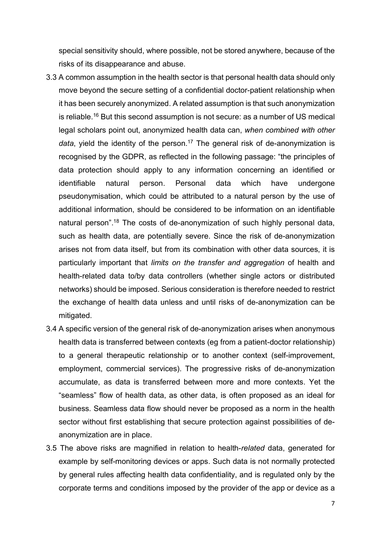special sensitivity should, where possible, not be stored anywhere, because of the risks of its disappearance and abuse.

- 3.3 A common assumption in the health sector is that personal health data should only move beyond the secure setting of a confidential doctor-patient relationship when it has been securely anonymized. A related assumption is that such anonymization is reliable.<sup>16</sup> But this second assumption is not secure: as a number of US medical legal scholars point out, anonymized health data can, when combined with other data, yield the identity of the person.<sup>17</sup> The general risk of de-anonymization is recognised by the GDPR, as reflected in the following passage: "the principles of data protection should apply to any information concerning an identified or identifiable natural person. Personal data which have undergone pseudonymisation, which could be attributed to a natural person by the use of additional information, should be considered to be information on an identifiable natural person".<sup>18</sup> The costs of de-anonymization of such highly personal data, such as health data, are potentially severe. Since the risk of de-anonymization arises not from data itself, but from its combination with other data sources, it is particularly important that limits on the transfer and aggregation of health and health-related data to/by data controllers (whether single actors or distributed networks) should be imposed. Serious consideration is therefore needed to restrict the exchange of health data unless and until risks of de-anonymization can be mitigated.
- 3.4 A specific version of the general risk of de-anonymization arises when anonymous health data is transferred between contexts (eg from a patient-doctor relationship) to a general therapeutic relationship or to another context (self-improvement, employment, commercial services). The progressive risks of de-anonymization accumulate, as data is transferred between more and more contexts. Yet the "seamless" flow of health data, as other data, is often proposed as an ideal for business. Seamless data flow should never be proposed as a norm in the health sector without first establishing that secure protection against possibilities of deanonymization are in place.
- 3.5 The above risks are magnified in relation to health-related data, generated for example by self-monitoring devices or apps. Such data is not normally protected by general rules affecting health data confidentiality, and is regulated only by the corporate terms and conditions imposed by the provider of the app or device as a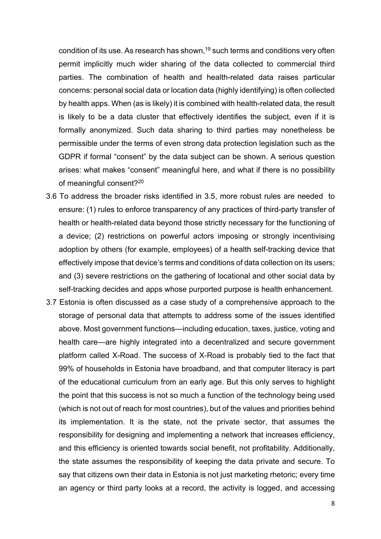condition of its use. As research has shown, $19$  such terms and conditions very often permit implicitly much wider sharing of the data collected to commercial third parties. The combination of health and health-related data raises particular concerns: personal social data or location data (highly identifying) is often collected by health apps. When (as is likely) it is combined with health-related data, the result is likely to be a data cluster that effectively identifies the subject, even if it is formally anonymized. Such data sharing to third parties may nonetheless be permissible under the terms of even strong data protection legislation such as the GDPR if formal "consent" by the data subject can be shown. A serious question arises: what makes "consent" meaningful here, and what if there is no possibility of meaningful consent?<sup>20</sup>

- 3.6 To address the broader risks identified in 3.5, more robust rules are needed to ensure: (1) rules to enforce transparency of any practices of third-party transfer of health or health-related data beyond those strictly necessary for the functioning of a device; (2) restrictions on powerful actors imposing or strongly incentivising adoption by others (for example, employees) of a health self-tracking device that effectively impose that device's terms and conditions of data collection on its users; and (3) severe restrictions on the gathering of locational and other social data by self-tracking decides and apps whose purported purpose is health enhancement.
- 3.7 Estonia is often discussed as a case study of a comprehensive approach to the storage of personal data that attempts to address some of the issues identified above. Most government functions—including education, taxes, justice, voting and health care—are highly integrated into a decentralized and secure government platform called X-Road. The success of X-Road is probably tied to the fact that 99% of households in Estonia have broadband, and that computer literacy is part of the educational curriculum from an early age. But this only serves to highlight the point that this success is not so much a function of the technology being used (which is not out of reach for most countries), but of the values and priorities behind its implementation. It is the state, not the private sector, that assumes the responsibility for designing and implementing a network that increases efficiency, and this efficiency is oriented towards social benefit, not profitability. Additionally, the state assumes the responsibility of keeping the data private and secure. To say that citizens own their data in Estonia is not just marketing rhetoric; every time an agency or third party looks at a record, the activity is logged, and accessing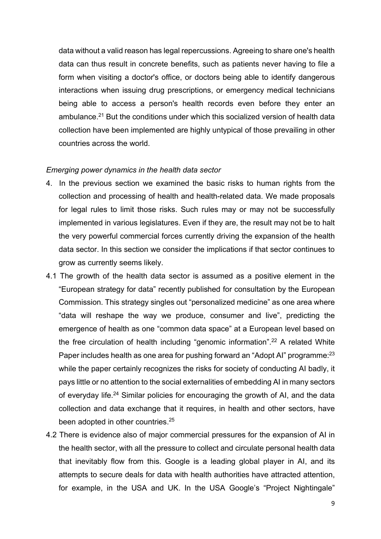data without a valid reason has legal repercussions. Agreeing to share one's health data can thus result in concrete benefits, such as patients never having to file a form when visiting a doctor's office, or doctors being able to identify dangerous interactions when issuing drug prescriptions, or emergency medical technicians being able to access a person's health records even before they enter an ambulance.<sup>21</sup> But the conditions under which this socialized version of health data collection have been implemented are highly untypical of those prevailing in other countries across the world.

### Emerging power dynamics in the health data sector

- 4. In the previous section we examined the basic risks to human rights from the collection and processing of health and health-related data. We made proposals for legal rules to limit those risks. Such rules may or may not be successfully implemented in various legislatures. Even if they are, the result may not be to halt the very powerful commercial forces currently driving the expansion of the health data sector. In this section we consider the implications if that sector continues to grow as currently seems likely.
- 4.1 The growth of the health data sector is assumed as a positive element in the "European strategy for data" recently published for consultation by the European Commission. This strategy singles out "personalized medicine" as one area where "data will reshape the way we produce, consumer and live", predicting the emergence of health as one "common data space" at a European level based on the free circulation of health including "genomic information".<sup>22</sup> A related White Paper includes health as one area for pushing forward an "Adopt AI" programme:<sup>23</sup> while the paper certainly recognizes the risks for society of conducting AI badly, it pays little or no attention to the social externalities of embedding AI in many sectors of everyday life.<sup>24</sup> Similar policies for encouraging the growth of AI, and the data collection and data exchange that it requires, in health and other sectors, have been adopted in other countries.<sup>25</sup>
- 4.2 There is evidence also of major commercial pressures for the expansion of AI in the health sector, with all the pressure to collect and circulate personal health data that inevitably flow from this. Google is a leading global player in AI, and its attempts to secure deals for data with health authorities have attracted attention, for example, in the USA and UK. In the USA Google's "Project Nightingale"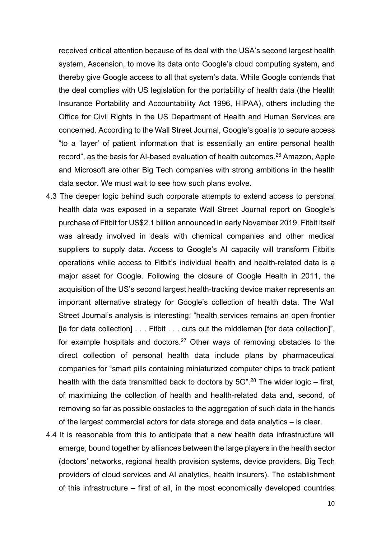received critical attention because of its deal with the USA's second largest health system, Ascension, to move its data onto Google's cloud computing system, and thereby give Google access to all that system's data. While Google contends that the deal complies with US legislation for the portability of health data (the Health Insurance Portability and Accountability Act 1996, HIPAA), others including the Office for Civil Rights in the US Department of Health and Human Services are concerned. According to the Wall Street Journal, Google's goal is to secure access "to a 'layer' of patient information that is essentially an entire personal health record", as the basis for AI-based evaluation of health outcomes.<sup>26</sup> Amazon, Apple and Microsoft are other Big Tech companies with strong ambitions in the health data sector. We must wait to see how such plans evolve.

- 4.3 The deeper logic behind such corporate attempts to extend access to personal health data was exposed in a separate Wall Street Journal report on Google's purchase of Fitbit for US\$2.1 billion announced in early November 2019. Fitbit itself was already involved in deals with chemical companies and other medical suppliers to supply data. Access to Google's AI capacity will transform Fitbit's operations while access to Fitbit's individual health and health-related data is a major asset for Google. Following the closure of Google Health in 2011, the acquisition of the US's second largest health-tracking device maker represents an important alternative strategy for Google's collection of health data. The Wall Street Journal's analysis is interesting: "health services remains an open frontier [ie for data collection] . . . Fitbit . . . cuts out the middleman [for data collection]", for example hospitals and doctors.<sup>27</sup> Other ways of removing obstacles to the direct collection of personal health data include plans by pharmaceutical companies for "smart pills containing miniaturized computer chips to track patient health with the data transmitted back to doctors by  $5G$ ".<sup>28</sup> The wider logic – first, of maximizing the collection of health and health-related data and, second, of removing so far as possible obstacles to the aggregation of such data in the hands of the largest commercial actors for data storage and data analytics – is clear.
- 4.4 It is reasonable from this to anticipate that a new health data infrastructure will emerge, bound together by alliances between the large players in the health sector (doctors' networks, regional health provision systems, device providers, Big Tech providers of cloud services and AI analytics, health insurers). The establishment of this infrastructure – first of all, in the most economically developed countries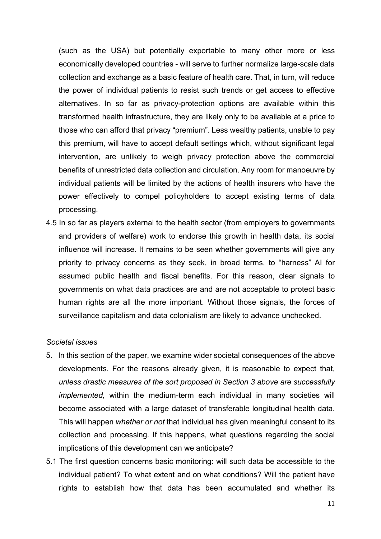(such as the USA) but potentially exportable to many other more or less economically developed countries - will serve to further normalize large-scale data collection and exchange as a basic feature of health care. That, in turn, will reduce the power of individual patients to resist such trends or get access to effective alternatives. In so far as privacy-protection options are available within this transformed health infrastructure, they are likely only to be available at a price to those who can afford that privacy "premium". Less wealthy patients, unable to pay this premium, will have to accept default settings which, without significant legal intervention, are unlikely to weigh privacy protection above the commercial benefits of unrestricted data collection and circulation. Any room for manoeuvre by individual patients will be limited by the actions of health insurers who have the power effectively to compel policyholders to accept existing terms of data processing.

4.5 In so far as players external to the health sector (from employers to governments and providers of welfare) work to endorse this growth in health data, its social influence will increase. It remains to be seen whether governments will give any priority to privacy concerns as they seek, in broad terms, to "harness" AI for assumed public health and fiscal benefits. For this reason, clear signals to governments on what data practices are and are not acceptable to protect basic human rights are all the more important. Without those signals, the forces of surveillance capitalism and data colonialism are likely to advance unchecked.

#### Societal issues

- 5. In this section of the paper, we examine wider societal consequences of the above developments. For the reasons already given, it is reasonable to expect that, unless drastic measures of the sort proposed in Section 3 above are successfully implemented, within the medium-term each individual in many societies will become associated with a large dataset of transferable longitudinal health data. This will happen whether or not that individual has given meaningful consent to its collection and processing. If this happens, what questions regarding the social implications of this development can we anticipate?
- 5.1 The first question concerns basic monitoring: will such data be accessible to the individual patient? To what extent and on what conditions? Will the patient have rights to establish how that data has been accumulated and whether its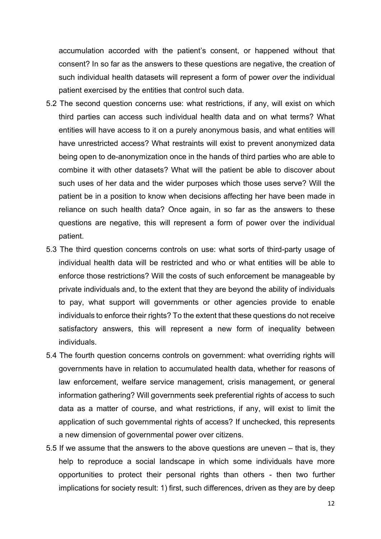accumulation accorded with the patient's consent, or happened without that consent? In so far as the answers to these questions are negative, the creation of such individual health datasets will represent a form of power over the individual patient exercised by the entities that control such data.

- 5.2 The second question concerns use: what restrictions, if any, will exist on which third parties can access such individual health data and on what terms? What entities will have access to it on a purely anonymous basis, and what entities will have unrestricted access? What restraints will exist to prevent anonymized data being open to de-anonymization once in the hands of third parties who are able to combine it with other datasets? What will the patient be able to discover about such uses of her data and the wider purposes which those uses serve? Will the patient be in a position to know when decisions affecting her have been made in reliance on such health data? Once again, in so far as the answers to these questions are negative, this will represent a form of power over the individual patient.
- 5.3 The third question concerns controls on use: what sorts of third-party usage of individual health data will be restricted and who or what entities will be able to enforce those restrictions? Will the costs of such enforcement be manageable by private individuals and, to the extent that they are beyond the ability of individuals to pay, what support will governments or other agencies provide to enable individuals to enforce their rights? To the extent that these questions do not receive satisfactory answers, this will represent a new form of inequality between individuals.
- 5.4 The fourth question concerns controls on government: what overriding rights will governments have in relation to accumulated health data, whether for reasons of law enforcement, welfare service management, crisis management, or general information gathering? Will governments seek preferential rights of access to such data as a matter of course, and what restrictions, if any, will exist to limit the application of such governmental rights of access? If unchecked, this represents a new dimension of governmental power over citizens.
- 5.5 If we assume that the answers to the above questions are uneven that is, they help to reproduce a social landscape in which some individuals have more opportunities to protect their personal rights than others - then two further implications for society result: 1) first, such differences, driven as they are by deep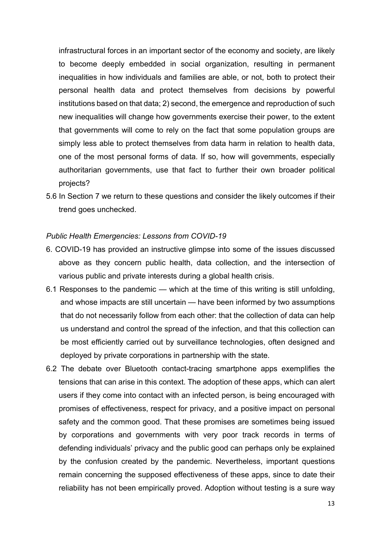infrastructural forces in an important sector of the economy and society, are likely to become deeply embedded in social organization, resulting in permanent inequalities in how individuals and families are able, or not, both to protect their personal health data and protect themselves from decisions by powerful institutions based on that data; 2) second, the emergence and reproduction of such new inequalities will change how governments exercise their power, to the extent that governments will come to rely on the fact that some population groups are simply less able to protect themselves from data harm in relation to health data, one of the most personal forms of data. If so, how will governments, especially authoritarian governments, use that fact to further their own broader political projects?

5.6 In Section 7 we return to these questions and consider the likely outcomes if their trend goes unchecked.

### Public Health Emergencies: Lessons from COVID-19

- 6. COVID-19 has provided an instructive glimpse into some of the issues discussed above as they concern public health, data collection, and the intersection of various public and private interests during a global health crisis.
- 6.1 Responses to the pandemic which at the time of this writing is still unfolding, and whose impacts are still uncertain — have been informed by two assumptions that do not necessarily follow from each other: that the collection of data can help us understand and control the spread of the infection, and that this collection can be most efficiently carried out by surveillance technologies, often designed and deployed by private corporations in partnership with the state.
- 6.2 The debate over Bluetooth contact-tracing smartphone apps exemplifies the tensions that can arise in this context. The adoption of these apps, which can alert users if they come into contact with an infected person, is being encouraged with promises of effectiveness, respect for privacy, and a positive impact on personal safety and the common good. That these promises are sometimes being issued by corporations and governments with very poor track records in terms of defending individuals' privacy and the public good can perhaps only be explained by the confusion created by the pandemic. Nevertheless, important questions remain concerning the supposed effectiveness of these apps, since to date their reliability has not been empirically proved. Adoption without testing is a sure way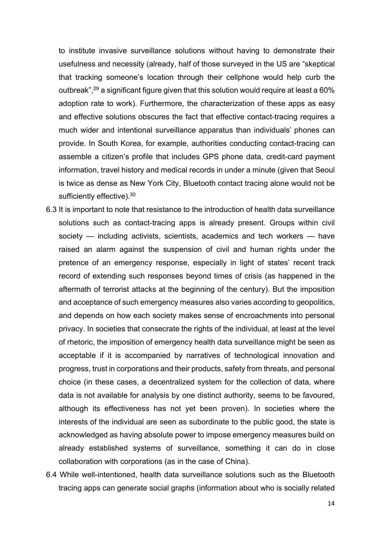to institute invasive surveillance solutions without having to demonstrate their usefulness and necessity (already, half of those surveyed in the US are "skeptical that tracking someone's location through their cellphone would help curb the outbreak",<sup>29</sup> a significant figure given that this solution would require at least a 60% adoption rate to work). Furthermore, the characterization of these apps as easy and effective solutions obscures the fact that effective contact-tracing requires a much wider and intentional surveillance apparatus than individuals' phones can provide. In South Korea, for example, authorities conducting contact-tracing can assemble a citizen's profile that includes GPS phone data, credit-card payment information, travel history and medical records in under a minute (given that Seoul is twice as dense as New York City, Bluetooth contact tracing alone would not be sufficiently effective).<sup>30</sup>

- 6.3 It is important to note that resistance to the introduction of health data surveillance solutions such as contact-tracing apps is already present. Groups within civil society — including activists, scientists, academics and tech workers — have raised an alarm against the suspension of civil and human rights under the pretence of an emergency response, especially in light of states' recent track record of extending such responses beyond times of crisis (as happened in the aftermath of terrorist attacks at the beginning of the century). But the imposition and acceptance of such emergency measures also varies according to geopolitics, and depends on how each society makes sense of encroachments into personal privacy. In societies that consecrate the rights of the individual, at least at the level of rhetoric, the imposition of emergency health data surveillance might be seen as acceptable if it is accompanied by narratives of technological innovation and progress, trust in corporations and their products, safety from threats, and personal choice (in these cases, a decentralized system for the collection of data, where data is not available for analysis by one distinct authority, seems to be favoured, although its effectiveness has not yet been proven). In societies where the interests of the individual are seen as subordinate to the public good, the state is acknowledged as having absolute power to impose emergency measures build on already established systems of surveillance, something it can do in close collaboration with corporations (as in the case of China).
- 6.4 While well-intentioned, health data surveillance solutions such as the Bluetooth tracing apps can generate social graphs (information about who is socially related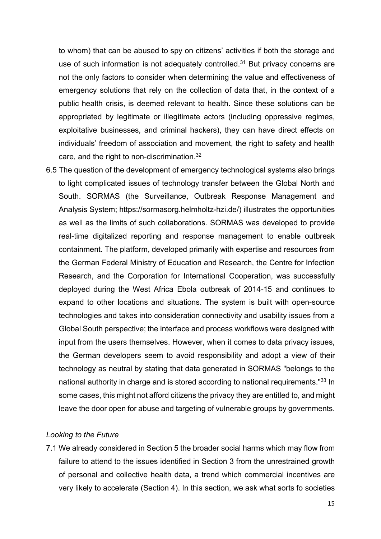to whom) that can be abused to spy on citizens' activities if both the storage and use of such information is not adequately controlled.<sup>31</sup> But privacy concerns are not the only factors to consider when determining the value and effectiveness of emergency solutions that rely on the collection of data that, in the context of a public health crisis, is deemed relevant to health. Since these solutions can be appropriated by legitimate or illegitimate actors (including oppressive regimes, exploitative businesses, and criminal hackers), they can have direct effects on individuals' freedom of association and movement, the right to safety and health care, and the right to non-discrimination.<sup>32</sup>

6.5 The question of the development of emergency technological systems also brings to light complicated issues of technology transfer between the Global North and South. SORMAS (the Surveillance, Outbreak Response Management and Analysis System; https://sormasorg.helmholtz-hzi.de/) illustrates the opportunities as well as the limits of such collaborations. SORMAS was developed to provide real-time digitalized reporting and response management to enable outbreak containment. The platform, developed primarily with expertise and resources from the German Federal Ministry of Education and Research, the Centre for Infection Research, and the Corporation for International Cooperation, was successfully deployed during the West Africa Ebola outbreak of 2014-15 and continues to expand to other locations and situations. The system is built with open-source technologies and takes into consideration connectivity and usability issues from a Global South perspective; the interface and process workflows were designed with input from the users themselves. However, when it comes to data privacy issues, the German developers seem to avoid responsibility and adopt a view of their technology as neutral by stating that data generated in SORMAS "belongs to the national authority in charge and is stored according to national requirements."<sup>33</sup> In some cases, this might not afford citizens the privacy they are entitled to, and might leave the door open for abuse and targeting of vulnerable groups by governments.

### Looking to the Future

7.1 We already considered in Section 5 the broader social harms which may flow from failure to attend to the issues identified in Section 3 from the unrestrained growth of personal and collective health data, a trend which commercial incentives are very likely to accelerate (Section 4). In this section, we ask what sorts fo societies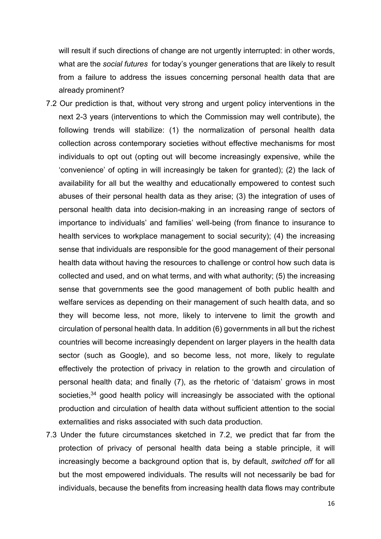will result if such directions of change are not urgently interrupted: in other words, what are the *social futures* for today's younger generations that are likely to result from a failure to address the issues concerning personal health data that are already prominent?

- 7.2 Our prediction is that, without very strong and urgent policy interventions in the next 2-3 years (interventions to which the Commission may well contribute), the following trends will stabilize: (1) the normalization of personal health data collection across contemporary societies without effective mechanisms for most individuals to opt out (opting out will become increasingly expensive, while the 'convenience' of opting in will increasingly be taken for granted); (2) the lack of availability for all but the wealthy and educationally empowered to contest such abuses of their personal health data as they arise; (3) the integration of uses of personal health data into decision-making in an increasing range of sectors of importance to individuals' and families' well-being (from finance to insurance to health services to workplace management to social security); (4) the increasing sense that individuals are responsible for the good management of their personal health data without having the resources to challenge or control how such data is collected and used, and on what terms, and with what authority; (5) the increasing sense that governments see the good management of both public health and welfare services as depending on their management of such health data, and so they will become less, not more, likely to intervene to limit the growth and circulation of personal health data. In addition (6) governments in all but the richest countries will become increasingly dependent on larger players in the health data sector (such as Google), and so become less, not more, likely to regulate effectively the protection of privacy in relation to the growth and circulation of personal health data; and finally (7), as the rhetoric of 'dataism' grows in most societies, $34$  good health policy will increasingly be associated with the optional production and circulation of health data without sufficient attention to the social externalities and risks associated with such data production.
- 7.3 Under the future circumstances sketched in 7.2, we predict that far from the protection of privacy of personal health data being a stable principle, it will increasingly become a background option that is, by default, switched off for all but the most empowered individuals. The results will not necessarily be bad for individuals, because the benefits from increasing health data flows may contribute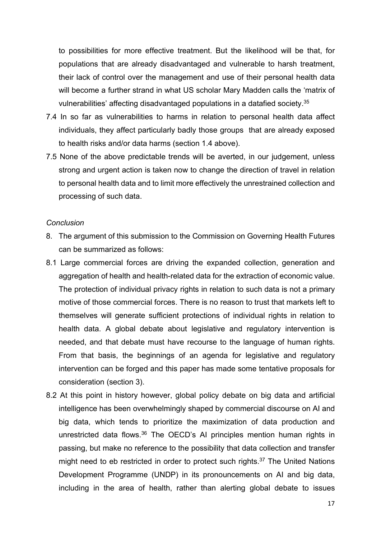to possibilities for more effective treatment. But the likelihood will be that, for populations that are already disadvantaged and vulnerable to harsh treatment, their lack of control over the management and use of their personal health data will become a further strand in what US scholar Mary Madden calls the 'matrix of vulnerabilities' affecting disadvantaged populations in a datafied society.<sup>35</sup>

- 7.4 In so far as vulnerabilities to harms in relation to personal health data affect individuals, they affect particularly badly those groups that are already exposed to health risks and/or data harms (section 1.4 above).
- 7.5 None of the above predictable trends will be averted, in our judgement, unless strong and urgent action is taken now to change the direction of travel in relation to personal health data and to limit more effectively the unrestrained collection and processing of such data.

#### **Conclusion**

- 8. The argument of this submission to the Commission on Governing Health Futures can be summarized as follows:
- 8.1 Large commercial forces are driving the expanded collection, generation and aggregation of health and health-related data for the extraction of economic value. The protection of individual privacy rights in relation to such data is not a primary motive of those commercial forces. There is no reason to trust that markets left to themselves will generate sufficient protections of individual rights in relation to health data. A global debate about legislative and regulatory intervention is needed, and that debate must have recourse to the language of human rights. From that basis, the beginnings of an agenda for legislative and regulatory intervention can be forged and this paper has made some tentative proposals for consideration (section 3).
- 8.2 At this point in history however, global policy debate on big data and artificial intelligence has been overwhelmingly shaped by commercial discourse on AI and big data, which tends to prioritize the maximization of data production and unrestricted data flows.<sup>36</sup> The OECD's AI principles mention human rights in passing, but make no reference to the possibility that data collection and transfer might need to eb restricted in order to protect such rights.<sup>37</sup> The United Nations Development Programme (UNDP) in its pronouncements on AI and big data, including in the area of health, rather than alerting global debate to issues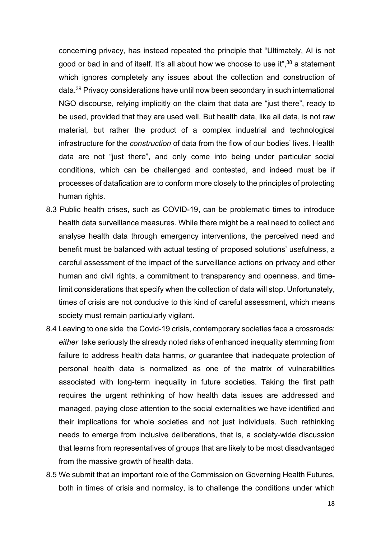concerning privacy, has instead repeated the principle that "Ultimately, AI is not good or bad in and of itself. It's all about how we choose to use it",<sup>38</sup> a statement which ignores completely any issues about the collection and construction of data.<sup>39</sup> Privacy considerations have until now been secondary in such international NGO discourse, relying implicitly on the claim that data are "just there", ready to be used, provided that they are used well. But health data, like all data, is not raw material, but rather the product of a complex industrial and technological infrastructure for the construction of data from the flow of our bodies' lives. Health data are not "just there", and only come into being under particular social conditions, which can be challenged and contested, and indeed must be if processes of datafication are to conform more closely to the principles of protecting human rights.

- 8.3 Public health crises, such as COVID-19, can be problematic times to introduce health data surveillance measures. While there might be a real need to collect and analyse health data through emergency interventions, the perceived need and benefit must be balanced with actual testing of proposed solutions' usefulness, a careful assessment of the impact of the surveillance actions on privacy and other human and civil rights, a commitment to transparency and openness, and timelimit considerations that specify when the collection of data will stop. Unfortunately, times of crisis are not conducive to this kind of careful assessment, which means society must remain particularly vigilant.
- 8.4 Leaving to one side the Covid-19 crisis, contemporary societies face a crossroads: either take seriously the already noted risks of enhanced inequality stemming from failure to address health data harms, or guarantee that inadequate protection of personal health data is normalized as one of the matrix of vulnerabilities associated with long-term inequality in future societies. Taking the first path requires the urgent rethinking of how health data issues are addressed and managed, paying close attention to the social externalities we have identified and their implications for whole societies and not just individuals. Such rethinking needs to emerge from inclusive deliberations, that is, a society-wide discussion that learns from representatives of groups that are likely to be most disadvantaged from the massive growth of health data.
- 8.5 We submit that an important role of the Commission on Governing Health Futures, both in times of crisis and normalcy, is to challenge the conditions under which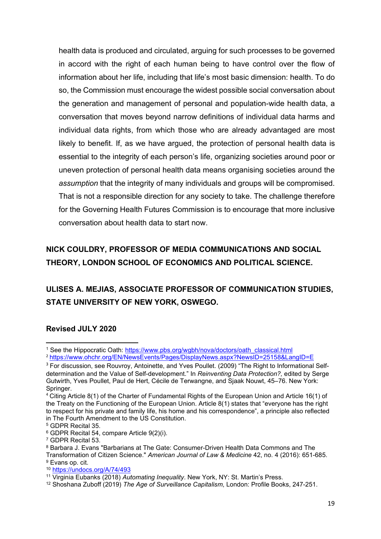health data is produced and circulated, arguing for such processes to be governed in accord with the right of each human being to have control over the flow of information about her life, including that life's most basic dimension: health. To do so, the Commission must encourage the widest possible social conversation about the generation and management of personal and population-wide health data, a conversation that moves beyond narrow definitions of individual data harms and individual data rights, from which those who are already advantaged are most likely to benefit. If, as we have argued, the protection of personal health data is essential to the integrity of each person's life, organizing societies around poor or uneven protection of personal health data means organising societies around the assumption that the integrity of many individuals and groups will be compromised. That is not a responsible direction for any society to take. The challenge therefore for the Governing Health Futures Commission is to encourage that more inclusive conversation about health data to start now.

# NICK COULDRY, PROFESSOR OF MEDIA COMMUNICATIONS AND SOCIAL THEORY, LONDON SCHOOL OF ECONOMICS AND POLITICAL SCIENCE.

# ULISES A. MEJIAS, ASSOCIATE PROFESSOR OF COMMUNICATION STUDIES, STATE UNIVERSITY OF NEW YORK, OSWEGO.

## Revised JULY 2020

<sup>&</sup>lt;sup>1</sup> See the Hippocratic Oath: https://www.pbs.org/wgbh/nova/doctors/oath\_classical.html

<sup>2</sup> https://www.ohchr.org/EN/NewsEvents/Pages/DisplayNews.aspx?NewsID=25158&LangID=E

<sup>&</sup>lt;sup>3</sup> For discussion, see Rouvroy, Antoinette, and Yves Poullet. (2009) "The Right to Informational Selfdetermination and the Value of Self-development." In Reinventing Data Protection?, edited by Serge Gutwirth, Yves Poullet, Paul de Hert, Cécile de Terwangne, and Sjaak Nouwt, 45–76. New York: Springer.

<sup>4</sup> Citing Article 8(1) of the Charter of Fundamental Rights of the European Union and Article 16(1) of the Treaty on the Functioning of the European Union. Article 8(1) states that "everyone has the right to respect for his private and family life, his home and his correspondence", a principle also reflected in The Fourth Amendment to the US Constitution.

<sup>5</sup> GDPR Recital 35.

<sup>6</sup> GDPR Recital 54, compare Article 9(2)(i).

<sup>7</sup> GDPR Recital 53.

 $^8$  Barbara J. Evans "Barbarians at The Gate: Consumer-Driven Health Data Commons and The Transformation of Citizen Science." American Journal of Law & Medicine 42, no. 4 (2016): 651-685. <sup>9</sup> Evans op. cit.

<sup>10</sup> https://undocs.org/A/74/493

<sup>&</sup>lt;sup>11</sup> Virginia Eubanks (2018) Automating Inequality. New York, NY: St. Martin's Press.

<sup>&</sup>lt;sup>12</sup> Shoshana Zuboff (2019) The Age of Surveillance Capitalism, London: Profile Books, 247-251.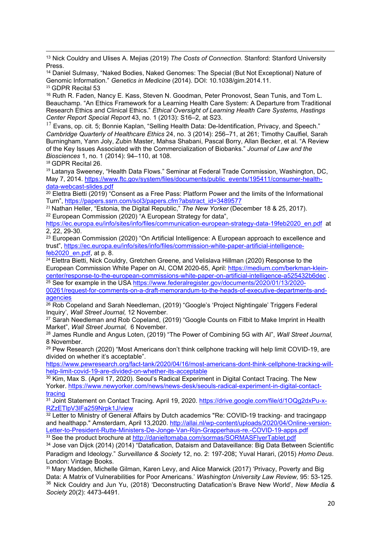<sup>13</sup> Nick Couldry and Ulises A. Meijas (2019) The Costs of Connection. Stanford: Stanford University Press.

<sup>14</sup> Daniel Sulmasy, "Naked Bodies, Naked Genomes: The Special (But Not Exceptional) Nature of Genomic Information." Genetics in Medicine (2014). DOI: 10.1038/gim.2014.11. <sup>15</sup> GDPR Recital 53

<sup>16</sup> Ruth R. Faden, Nancy E. Kass, Steven N. Goodman, Peter Pronovost, Sean Tunis, and Tom L. Beauchamp. "An Ethics Framework for a Learning Health Care System: A Departure from Traditional Research Ethics and Clinical Ethics." Ethical Oversight of Learning Health Care Systems, Hastings Center Report Special Report 43, no. 1 (2013): S16–2, at S23.

 $17$  Evans, op. cit. 5; Bonnie Kaplan, "Selling Health Data: De-Identification, Privacy, and Speech." Cambridge Quarterly of Healthcare Ethics 24, no. 3 (2014): 256–71, at 261; Timothy Caulfiel, Sarah Burningham, Yann Joly, Zubin Master, Mahsa Shabani, Pascal Borry, Allan Becker, et al. "A Review of the Key Issues Associated with the Commercialization of Biobanks." Journal of Law and the Biosciences 1, no. 1 (2014): 94–110, at 108.

<sup>18</sup> GDPR Recital 26.

<sup>19</sup> Latanya Sweeney, "Health Data Flows." Seminar at Federal Trade Commission, Washington, DC, May 7, 2014. https://www.ftc.gov/system/files/documents/public\_events/195411/consumer-healthdata-webcast-slides.pdf

 $20$  Elettra Bietti (2019) "Consent as a Free Pass: Platform Power and the limits of the Informational Turn", https://papers.ssrn.com/sol3/papers.cfm?abstract\_id=3489577

<sup>21</sup> Nathan Heller, "Estonia, the Digital Republic," The New Yorker (December 18 & 25, 2017). <sup>22</sup> European Commission (2020) "A European Strategy for data".

https://ec.europa.eu/info/sites/info/files/communication-european-strategy-data-19feb2020\_en.pdf at 2, 22, 29-30.

 $23$  European Commission (2020) "On Artificial Intelligence: A European approach to excellence and trust", https://ec.europa.eu/info/sites/info/files/commission-white-paper-artificial-intelligencefeb2020\_en.pdf, at p. 8.

<sup>24</sup> Elettra Bietti, Nick Couldry, Gretchen Greene, and Velislava Hillman (2020) Response to the European Commission White Paper on AI, COM 2020-65, April: https://medium.com/berkman-kleincenter/response-to-the-european-commissions-white-paper-on-artificial-intelligence-a525432b6dec . <sup>25</sup> See for example in the USA https://www.federalregister.gov/documents/2020/01/13/2020-00261/request-for-comments-on-a-draft-memorandum-to-the-heads-of-executive-departments-andagencies

 $\frac{26}{26}$  Rob Copeland and Sarah Needleman, (2019) "Google's 'Project Nightingale' Triggers Federal Inquiry', Wall Street Journal, 12 November.

<sup>27</sup> Sarah Needleman and Rob Copeland, (2019) "Google Counts on Fitbit to Make Imprint in Health Market", Wall Street Journal, 6 November.

<sup>28</sup> James Rundle and Angus Loten, (2019) "The Power of Combining 5G with AI", Wall Street Journal, 8 November.

<sup>29</sup> Pew Research (2020) "Most Americans don't think cellphone tracking will help limit COVID-19, are divided on whether it's acceptable".

https://www.pewresearch.org/fact-tank/2020/04/16/most-americans-dont-think-cellphone-tracking-willhelp-limit-covid-19-are-divided-on-whether-its-acceptable

 $30$  Kim, Max S. (April 17, 2020). Seoul's Radical Experiment in Digital Contact Tracing. The New Yorker. https://www.newyorker.com/news/news-desk/seouls-radical-experiment-in-digital-contacttracing

31 Joint Statement on Contact Tracing. April 19, 2020. https://drive.google.com/file/d/1OQg2dxPu-x-RZzETlpV3lFa259Nrpk1J/view

<sup>32</sup> Letter to Ministry of General Affairs by Dutch academics "Re: COVID-19 tracking- and tracingapp and healthapp." Amsterdam, April 13,2020. http://allai.nl/wp-content/uploads/2020/04/Online-version-Letter-to-President-Rutte-Ministers-De-Jonge-Van-Rijn-Grapperhaus-re.-COVID-19-apps.pdf 33 See the product brochure at http://danieltomaba.com/sormas/SORMASFlyerTablet.pdf

<sup>34</sup> Jose van Dijck (2014) (2014) "Datafication, Dataism and Dataveillance: Big Data Between Scientific Paradigm and Ideology." Surveillance & Society 12, no. 2: 197-208; Yuval Harari, (2015) Homo Deus. London: Vintage Books.

<sup>35</sup> Mary Madden, Michelle Gilman, Karen Levy, and Alice Marwick (2017) 'Privacy, Poverty and Big Data: A Matrix of Vulnerabilities for Poor Americans.' Washington University Law Review, 95: 53-125. <sup>36</sup> Nick Couldry and Jun Yu, (2018) 'Deconstructing Datafication's Brave New World', New Media & Society 20(2): 4473-4491.